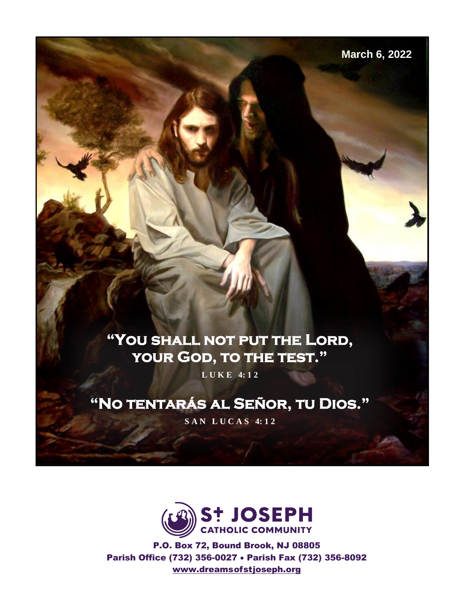**March 6, 2022**

# **"You shall not put the Lord, your God, to the test."**

**L U K E 4: 1 2**

# **"No tentarás al Señor, tu Dios."**

**S A N L U C A S 4: 1 2**



P.O. Box 72, Bound Brook, NJ 08805 Parish Office (732) 356-0027 • Parish Fax (732) 356-8092 [www.dreamso](http://www.dreams/)fstjoseph.org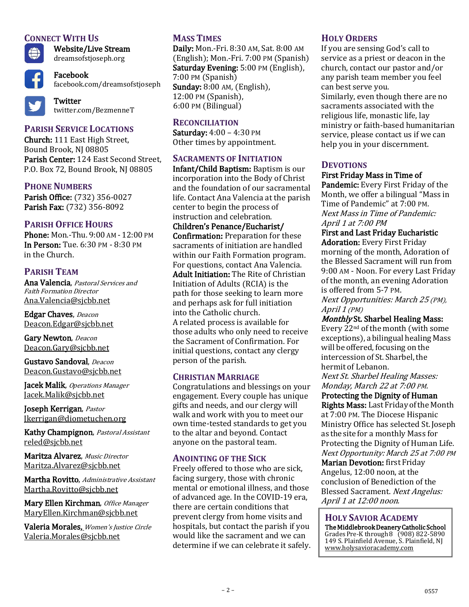# **CONNECT WITH US**



Website/Live Stream dreamsofstjoseph.org

Facebook facebook.com/dreamsofstjoseph

**Twitter** twitter.com/BezmenneT

# **PARISH SERVICE LOCATIONS**

Church: 111 East High Street, Bound Brook, NJ 08805 Parish Center: 124 East Second Street, P.O. Box 72, Bound Brook, NJ 08805

# **PHONE NUMBERS**

Parish Office: (732) 356-0027 Parish Fax: (732) 356-8092

# **PARISH OFFICE HOURS**

Phone: Mon.-Thu. 9:00 AM - 12:00 PM In Person: Tue. 6:30 PM - 8:30 PM in the Church.

# **PARISH TEAM**

Ana Valencia, Pastoral Services and Faith Formation Director [Ana.Valencia@sjcbb.net](mailto:Ana.Valencia@sjcbb.net)

Edgar Chaves, Deacon [Deacon.Edgar@sjcbb.net](mailto:Deacon.Edgar@sjcbb.net)

Gary Newton, Deacon [Deacon.Gary@sjcbb.net](mailto:Deacon.Gary@sjcbb.net)

Gustavo Sandoval, Deacon [Deacon.Gustavo@sjcbb.net](mailto:Deacon.Gustavo@sjcbb.ne)

Jacek Malik, Operations Manager [Jacek.Malik@sjcbb.net](mailto:Jacek.Malik@sjcbb.net)

Joseph Kerrigan, Pastor [Jkerrigan@diometuchen.org](mailto:Jkerrigan@diometuchen.org)

Kathy Champignon, Pastoral Assistant [reled@sjcbb.net](mailto:reled@sjcbb.net)

Maritza Alvarez, Music Director [Maritza.Alvarez@sjcbb.net](mailto:Maritza.Alvarez@sjcbb.net)

Martha Rovitto, Administrative Assistant [Martha.Rovitto@sjcbb.net](mailto:Martha.Rovitto@sjcbb.net)

Mary Ellen Kirchman, Office Manager [MaryEllen.Kirchman@sjcbb.net](mailto:MaryEllen.Kirchman@sjcbb.net)

Valeria Morales, Women's Justice Circle Valeria.Morales@sjcbb.net

# **MASS TIMES**

Daily: Mon.-Fri. 8:30 AM, Sat. 8:00 AM (English); Mon.-Fri. 7:00 PM (Spanish) Saturday Evening: 5:00 PM (English), 7:00 PM (Spanish) Sunday: 8:00 AM, (English), 12:00 PM (Spanish), 6:00 PM (Bilingual)

#### **RECONCILIATION**

Saturday: 4:00 – 4:30 PM Other times by appointment.

#### **SACRAMENTS OF INITIATION**

Infant/Child Baptism: Baptism is our incorporation into the Body of Christ and the foundation of our sacramental life. Contact Ana Valencia at the parish center to begin the process of instruction and celebration.

Children's Penance/Eucharist/ Confirmation: Preparation for these sacraments of initiation are handled within our Faith Formation program. For questions, contact Ana Valencia. Adult Initiation: The Rite of Christian Initiation of Adults (RCIA) is the path for those seeking to learn more and perhaps ask for full initiation into the Catholic church. A related process is available for those adults who only need to receive the Sacrament of Confirmation. For initial questions, contact any clergy person of the parish.

#### **CHRISTIAN MARRIAGE**

Congratulations and blessings on your engagement. Every couple has unique gifts and needs, and our clergy will walk and work with you to meet our own time-tested standards to get you to the altar and beyond. Contact anyone on the pastoral team.

#### **ANOINTING OF THE SICK**

Freely offered to those who are sick, facing surgery, those with chronic mental or emotional illness, and those of advanced age. In the COVID-19 era, there are certain conditions that prevent clergy from home visits and hospitals, but contact the parish if you would like the sacrament and we can determine if we can celebrate it safely.

#### **HOLY ORDERS**

If you are sensing God's call to service as a priest or deacon in the church, contact our pastor and/or any parish team member you feel can best serve you. Similarly, even though there are no sacraments associated with the religious life, monastic life, lay ministry or faith-based humanitarian service, please contact us if we can help you in your discernment.

#### **DEVOTIONS**

#### First Friday Mass in Time of

Pandemic: Every First Friday of the Month, we offer a bilingual "Mass in Time of Pandemic" at 7:00 PM. Next Mass in Time of Pandemic: April 1 at 7:00 PM

# First and Last Friday Eucharistic

Adoration: Every First Friday morning of the month, Adoration of the Blessed Sacrament will run from 9:00 AM - Noon. For every Last Friday of the month, an evening Adoration is offered from 5-7 PM. Next Opportunities: March 25 (PM), April 1 (PM)

Monthly St. Sharbel Healing Mass:

Every 22nd ofthe month (with some exceptions), a bilingual healing Mass will be offered, focusing on the intercession of St. Sharbel, the hermit of Lebanon.

Next St. Sharbel Healing Masses: Monday, March 22 at 7:00 PM.

#### Protecting the Dignity of Human

Rights Mass: Last Friday of the Month at 7:00 PM. The Diocese Hispanic Ministry Office has selected St. Joseph as thesite for a monthly Mass for Protecting the Dignity of Human Life. Next Opportunity: March 25 at 7:00 PM

Marian Devotion: first Friday Angelus, 12:00 noon, at the conclusion of Benediction of the Blessed Sacrament. Next Angelus: April 1 at 12:00 noon.

# **HOLY SAVIOR ACADEMY**

The Middlebrook Deanery Catholic School GradesPre-K through8 (908) 822-5890 149 S. Plainfield Avenue, S. Plainfield, NJ [www.holysavioracademy.com](http://www.holysavioracademy.com/)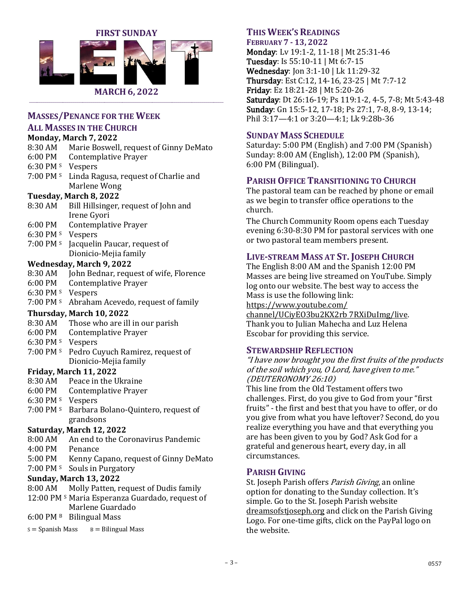



\_\_\_\_\_\_\_\_\_\_\_\_\_\_\_\_\_\_\_\_\_\_\_\_\_\_\_\_\_\_\_\_\_\_\_\_\_\_\_\_\_\_\_\_\_\_\_\_\_\_\_\_\_\_\_\_\_\_\_\_\_\_\_\_\_\_\_\_\_\_\_\_\_\_\_\_\_\_\_\_\_\_\_\_\_\_\_\_\_\_\_\_\_\_\_\_\_\_

#### **MASSES/PENANCE FOR THE WEEK**

**ALL MASSES IN THE CHURCH**

#### **Monday, March 7, 2022**

|           | Monday, March 7, 2022                                      |
|-----------|------------------------------------------------------------|
| 8:30 AM   | Marie Boswell, request of Ginny DeMato                     |
| 6:00 PM   | <b>Contemplative Prayer</b>                                |
| 6:30 PM s | Vespers                                                    |
| 7:00 PM s | Linda Ragusa, request of Charlie and                       |
|           | Marlene Wong                                               |
|           | Tuesday, March 8, 2022                                     |
| 8:30 AM   | Bill Hillsinger, request of John and                       |
|           | Irene Gyori                                                |
| 6:00 PM   | <b>Contemplative Prayer</b>                                |
| 6:30 PM s | Vespers                                                    |
| 7:00 PM s | Jacquelin Paucar, request of                               |
|           | Dionicio-Mejia family                                      |
|           | <b>Wednesday, March 9, 2022</b>                            |
| 8:30 AM   | John Bednar, request of wife, Florence                     |
| 6:00 PM   | <b>Contemplative Prayer</b>                                |
| 6:30 PM s | Vespers                                                    |
| 7:00 PM s | Abraham Acevedo, request of family                         |
|           | Thursday, March 10, 2022                                   |
| 8:30 AM   | Those who are ill in our parish                            |
| 6:00 PM   | <b>Contemplative Prayer</b>                                |
| 6:30 PM s | Vespers                                                    |
| 7:00 PM s | Pedro Cuyuch Ramirez, request of                           |
|           | Dionicio-Mejia family                                      |
|           | <b>Friday, March 11, 2022</b>                              |
| 8:30 AM   | Peace in the Ukraine                                       |
| 6:00 PM   | <b>Contemplative Prayer</b>                                |
| 6:30 PM s | Vespers                                                    |
| 7:00 PM s | Barbara Bolano-Quintero, request of                        |
|           | grandsons                                                  |
|           | Saturday, March 12, 2022                                   |
| 8:00 AM   | An end to the Coronavirus Pandemic                         |
| 4:00 PM   | Penance                                                    |
| 5:00 PM   | Kenny Capano, request of Ginny DeMato                      |
| 7:00 PM s | Souls in Purgatory                                         |
|           | <b>Sunday, March 13, 2022</b>                              |
| 8:00 AM   | Molly Patten, request of Dudis family                      |
|           | 12:00 PM <sup>s</sup> Maria Esperanza Guardado, request of |
|           | Marlene Guardado                                           |
|           |                                                            |

 $6:00 \text{ PM B}$  Bilingual Mass

 $s =$ Spanish Mass  $B =$ Bilingual Mass

# **THIS WEEK'S READINGS**

### **FEBRUARY 7 - 13, 2022**

Monday: Lv 19:1-2, 11-18 | Mt 25:31-46 Tuesday: Is 55:10-11 | Mt 6:7-15 Wednesday: Jon 3:1-10 | Lk 11:29-32 Thursday: Est C:12, 14-16, 23-25 | Mt 7:7-12 Friday: Ez 18:21-28 | Mt 5:20-26 Saturday: Dt 26:16-19; Ps 119:1-2, 4-5, 7-8; Mt 5:43-48 Sunday: Gn 15:5-12, 17-18; Ps 27:1, 7-8, 8-9, 13-14; Phil 3:17—4:1 or 3:20—4:1; Lk 9:28b-36

# **SUNDAY MASS SCHEDULE**

Saturday: 5:00 PM (English) and 7:00 PM (Spanish) Sunday: 8:00 AM (English), 12:00 PM (Spanish), 6:00 PM (Bilingual).

### **PARISH OFFICE TRANSITIONING TO CHURCH**

The pastoral team can be reached by phone or email as we begin to transfer office operations to the church.

The Church Community Room opens each Tuesday evening 6:30-8:30 PM for pastoral services with one or two pastoral team members present.

### **LIVE-STREAM MASS AT ST. JOSEPH CHURCH**

The English 8:00 AM and the Spanish 12:00 PM Masses are being live streamed on YouTube. Simply log onto our website. The best way to access the Mass is use the following link: [https://www.youtube.com/](https://www.youtube.com/%20channel/UCiyEO3bu2KX2rb%207RXiDuImg/live)  [channel/UCiyEO3bu2KX2rb 7RXiDuImg/live.](https://www.youtube.com/%20channel/UCiyEO3bu2KX2rb%207RXiDuImg/live) Thank you to Julian Mahecha and Luz Helena Escobar for providing this service.

#### **STEWARDSHIP REFLECTION**

"I have now brought you the first fruits of the products of the soil which you, O Lord, have given to me." (DEUTERONOMY 26:10)

This line from the Old Testament offers two challenges. First, do you give to God from your "first fruits" - the first and best that you have to offer, or do you give from what you have leftover? Second, do you realize everything you have and that everything you are has been given to you by God? Ask God for a grateful and generous heart, every day, in all circumstances.

#### **PARISH GIVING**

St. Joseph Parish offers Parish Giving, an online option for donating to the Sunday collection. It's simple. Go to the St. Joseph Parish website dreamsofstjoseph.org and click on the Parish Giving Logo. For one-time gifts, click on the PayPal logo on the website.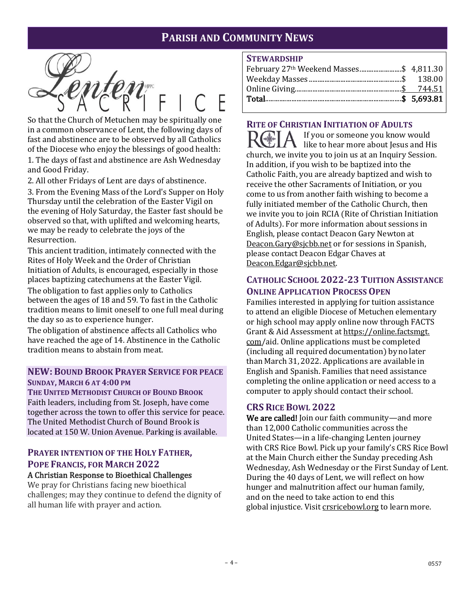# **PARISH AND COMMUNITY NEWS**

So that the Church of Metuchen may be spiritually one in a common observance of Lent, the following days of fast and abstinence are to be observed by all Catholics of the Diocese who enjoy the blessings of good health: 1. The days of fast and abstinence are Ash Wednesday and Good Friday.

2. All other Fridays of Lent are days of abstinence.

3. From the Evening Mass of the Lord's Supper on Holy Thursday until the celebration of the Easter Vigil on the evening of Holy Saturday, the Easter fast should be observed so that, with uplifted and welcoming hearts, we may be ready to celebrate the joys of the Resurrection.

This ancient tradition, intimately connected with the Rites of Holy Week and the Order of Christian Initiation of Adults, is encouraged, especially in those places baptizing catechumens at the Easter Vigil.

The obligation to fast applies only to Catholics between the ages of 18 and 59. To fast in the Catholic tradition means to limit oneself to one full meal during the day so as to experience hunger.

The obligation of abstinence affects all Catholics who have reached the age of 14. Abstinence in the Catholic tradition means to abstain from meat.

#### **NEW: BOUND BROOK PRAYER SERVICE FOR PEACE SUNDAY, MARCH 6 AT 4:00 PM**

**THE UNITED METHODIST CHURCH OF BOUND BROOK** Faith leaders, including from St. Joseph, have come together across the town to offer this service for peace. The United Methodist Church of Bound Brook is located at 150 W. Union Avenue. Parking is available.

# **PRAYER INTENTION OF THE HOLY FATHER, POPE FRANCIS, FOR MARCH 2022**

#### A Christian Response to Bioethical Challenges

We pray for Christians facing new bioethical challenges; may they continue to defend the dignity of all human life with prayer and action.

#### **STEWARDSHIP**

| February 27 <sup>th</sup> Weekend Masses\$ 4,811.30 |  |
|-----------------------------------------------------|--|
|                                                     |  |

# **RITE OF CHRISTIAN INITIATION OF ADULTS**

If you or someone you know would like to hear more about Jesus and His church, we invite you to join us at an Inquiry Session. In addition, if you wish to be baptized into the Catholic Faith, you are already baptized and wish to receive the other Sacraments of Initiation, or you come to us from another faith wishing to become a fully initiated member of the Catholic Church, then we invite you to join RCIA (Rite of Christian Initiation of Adults). For more information about sessions in English, please contact Deacon Gary Newton at Deacon.Gary@sjcbb.net or for sessions in Spanish, please contact Deacon Edgar Chaves at [Deacon.Edgar@sjcbb.net.](mailto:Deacon.Edgar@sjcbb.net)

# **CATHOLIC SCHOOL 2022-23 TUITION ASSISTANCE ONLINE APPLICATION PROCESS OPEN**

Families interested in applying for tuition assistance to attend an eligible Diocese of Metuchen elementary or high school may apply online now through FACTS Grant & Aid Assessment at https://online.factsmgt. com/aid. Online applications must be completed (including all required documentation) by no later than March 31, 2022. Applications are available in English and Spanish. Families that need assistance completing the online application or need access to a computer to apply should contact their school.

# **CRS RICE BOWL 2022**

We are called! Join our faith community—and more than 12,000 Catholic communities across the United States—in a life-changing Lenten journey with CRS Rice Bowl. Pick up your family's CRS Rice Bowl at the Main Church either the Sunday preceding Ash Wednesday, Ash Wednesday or the First Sunday of Lent. During the 40 days of Lent, we will reflect on how hunger and malnutrition affect our human family, and on the need to take action to end this global injustice. Visit [crsricebowl.org](http://crsricebowl.org/) to learn more.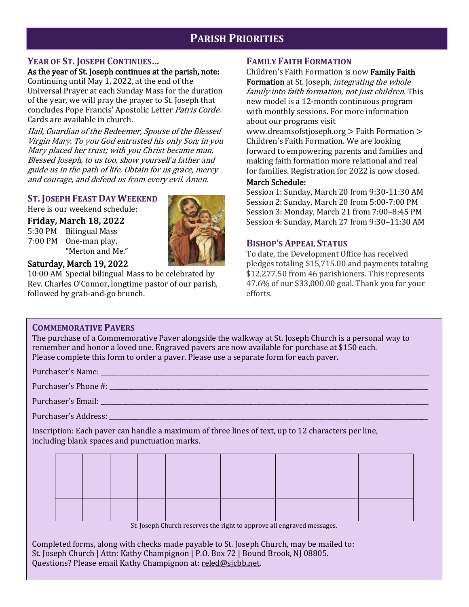# **PARISH PRIORITIES**

#### **YEAR OF ST. JOSEPH CONTINUES…**

As the year of St. Joseph continues at the parish, note: Continuing until May 1, 2022, at the end of the Universal Prayer at each Sunday Mass for the duration of the year, we will pray the prayer to St. Joseph that concludes Pope Francis' Apostolic Letter Patris Corde. Cards are available in church.

Hail, Guardian of the Redeemer, Spouse of the Blessed Virgin Mary. To you God entrusted his only Son; in you Mary placed her trust; with you Christ became man. Blessed Joseph, to us too, show yourself a father and guide us in the path of life. Obtain for us grace, mercy and courage, and defend us from every evil. Amen.

### **ST. JOSEPH FEAST DAY WEEKEND**

Here is our weekend schedule:

**Friday, March 18, 2022**

5:30 PM Bilingual Mass 7:00 PM One-man play, "Merton and Me."



### Saturday, March 19, 2022

10:00 AM Special bilingual Mass to be celebrated by Rev. Charles O'Connor, longtime pastor of our parish, followed by grab-and-go brunch.

# **FAMILY FAITH FORMATION**

Children's Faith Formation is now Family Faith Formation at St. Joseph, *integrating the whole* family into faith formation, not just children. This new model is a 12-month continuous program with monthly sessions. For more information about our programs visit

[www.dreamsofstjoseph.org](http://www.dreamsofstjoseph.org/) > Faith Formation > Children's Faith Formation. We are looking forward to empowering parents and families and making faith formation more relational and real for families. Registration for 2022 is now closed.

#### March Schedule:

Session 1: Sunday, March 20 from 9:30-11:30 AM Session 2: Sunday, March 20 from 5:00-7:00 PM Session 3: Monday, March 21 from 7:00–8:45 PM Session 4: Sunday, March 27 from 9:30–11:30 AM

# **BISHOP'S APPEAL STATUS**

To date, the Development Office has received pledges totaling \$15,715.00 and payments totaling \$12,277.50 from 46 parishioners. This represents 47.6% of our \$33,000.00 goal. Thank you for your efforts.

# **COMMEMORATIVE PAVERS**

The purchase of a Commemorative Paver alongside the walkway at St. Joseph Church is a personal way to remember and honor a loved one. Engraved pavers are now available for purchase at \$150 each. Please complete this form to order a paver. Please use a separate form for each paver.

Purchaser's Name: \_\_\_\_\_\_\_\_\_\_\_\_\_\_\_\_\_\_\_\_\_\_\_\_\_\_\_\_\_\_\_\_\_\_\_\_\_\_\_\_\_\_\_\_\_\_\_\_\_\_\_\_\_\_\_\_\_\_\_\_\_\_\_\_\_\_\_\_\_\_\_\_\_\_\_\_\_\_\_\_\_\_\_\_\_\_\_\_\_\_\_\_\_\_\_\_\_\_\_\_\_\_\_\_\_

Purchaser's Phone #: \_\_\_\_\_\_\_\_\_\_\_\_\_\_\_\_\_\_\_\_\_\_\_\_\_\_\_\_\_\_\_\_\_\_\_\_\_\_\_\_\_\_\_\_\_\_\_\_\_\_\_\_\_\_\_\_\_\_\_\_\_\_\_\_\_\_\_\_\_\_\_\_\_\_\_\_\_\_\_\_\_\_\_\_\_\_\_\_\_\_\_\_\_\_\_\_\_\_\_\_\_\_

Purchaser's Email:

Purchaser's Address:

Inscription: Each paver can handle a maximum of three lines of text, up to 12 characters per line, including blank spaces and punctuation marks.

St. Joseph Church reserves the right to approve all engraved messages.

– 5 – 0557 Questions? Please email Kathy Champignon at: [reled@sjcbb.net.](mailto:reled@sjcbb.net) Completed forms, along with checks made payable to St. Joseph Church, may be mailed to: St. Joseph Church | Attn: Kathy Champignon | P.O. Box 72 | Bound Brook, NJ 08805.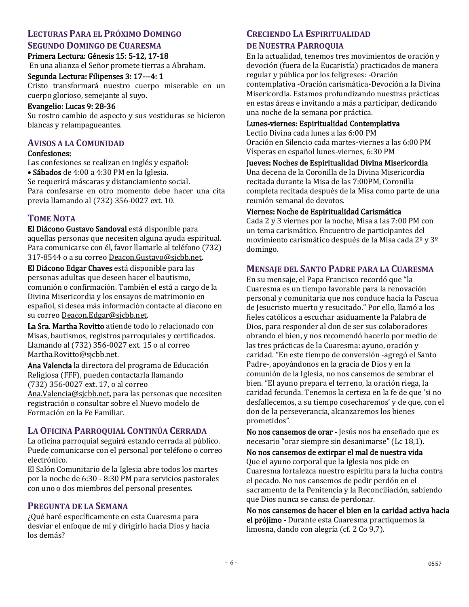# **LECTURAS PARA EL PRÓXIMO DOMINGO**

#### **SEGUNDO DOMINGO DE CUARESMA**

Primera Lectura: Génesis 15: 5-12, 17-18 En una alianza el Señor promete tierras a Abraham.

#### Segunda Lectura: Filipenses 3: 17---4: 1

Cristo transformará nuestro cuerpo miserable en un cuerpo glorioso, semejante al suyo.

#### Evangelio: Lucas 9: 28-36

Su rostro cambio de aspecto y sus vestiduras se hicieron blancas y relampagueantes.

# **AVISOS A LA COMUNIDAD**

#### Confesiones:

Las confesiones se realizan en inglés y español: • Sábados de 4:00 a 4:30 PM en la Iglesia. Se requerirá máscaras y distanciamiento social. Para confesarse en otro momento debe hacer una cita previa llamando al (732) 356-0027 ext. 10.

# **TOME NOTA**

El Diácono Gustavo Sandoval está disponible para aquellas personas que necesiten alguna ayuda espiritual. Para comunicarse con él, favor llamarle al teléfono (732) 317-8544 o a su corre[o Deacon.Gustavo@sjcbb.net.](mailto:Deacon.Gustavo@sjcbb.net)

El Diácono Edgar Chaves está disponible para las personas adultas que deseen hacer el bautismo, comunión o confirmación. También el está a cargo de la Divina Misericordia y los ensayos de matrimonio en español, si desea más información contacte al diacono en su correo Deacon.Edgar@sjcbb.net.

La Sra. Martha Rovitto atiende todo lo relacionado con Misas, bautismos, registros parroquiales y certificados. Llamando al (732) 356-0027 ext. 15 o al correo Martha.Rovitto@sjcbb.net.

Ana Valencia la directora del programa de Educación Religiosa (FFF), pueden contactarla llamando (732) 356-0027 ext. 17, o al correo [Ana.Valencia@sjcbb.net,](mailto:Ana.Valencia@sjcbb.net) para las personas que necesiten registración o consultar sobre el Nuevo modelo de Formación en la Fe Familiar.

# **LA OFICINA PARROQUIAL CONTINÚA CERRADA**

La oficina parroquial seguirá estando cerrada al público. Puede comunicarse con el personal por teléfono o correo electrónico.

El Salón Comunitario de la Iglesia abre todos los martes por la noche de 6:30 - 8:30 PM para servicios pastorales con uno o dos miembros del personal presentes.

#### **PREGUNTA DE LA SEMANA**

¿Qué haré específicamente en esta Cuaresma para desviar el enfoque de mí y dirigirlo hacia Dios y hacia los demás?

# **CRECIENDO LA ESPIRITUALIDAD**

### **DE NUESTRA PARROQUIA**

En la actualidad, tenemos tres movimientos de oración y devoción (fuera de la Eucaristía) practicados de manera regular y pública por los feligreses: -Oración contemplativa -Oración carismática-Devoción a la Divina Misericordia. Estamos profundizando nuestras prácticas en estas áreas e invitando a más a participar, dedicando una noche de la semana por práctica.

#### Lunes-viernes: Espiritualidad Contemplativa

Lectio Divina cada lunes a las 6:00 PM Oración en Silencio cada martes-viernes a las 6:00 PM Vísperas en español lunes-viernes, 6:30 PM

Jueves: Noches de Espiritualidad Divina Misericordia

Una decena de la Coronilla de la Divina Misericordia recitada durante la Misa de las 7:00PM, Coronilla completa recitada después de la Misa como parte de una reunión semanal de devotos.

#### Viernes: Noche de Espiritualidad Carismática

Cada 2 y 3 viernes por la noche, Misa a las 7:00 PM con un tema carismático. Encuentro de participantes del movimiento carismático después de la Misa cada 2º y 3º domingo.

### **MENSAJE DEL SANTO PADRE PARA LA CUARESMA**

En su mensaje, el Papa Francisco recordó que "la Cuaresma es un tiempo favorable para la renovación personal y comunitaria que nos conduce hacia la Pascua de Jesucristo muerto y resucitado." Por ello, llamó a los fieles católicos a escuchar asiduamente la Palabra de Dios, para responder al don de ser sus colaboradores obrando el bien, y nos recomendó hacerlo por medio de las tres prácticas de la Cuaresma: ayuno, oración y caridad. "En este tiempo de conversión -agregó el Santo Padre-, apoyándonos en la gracia de Dios y en la comunión de la Iglesia, no nos cansemos de sembrar el bien. "El ayuno prepara el terreno, la oración riega, la caridad fecunda. Tenemos la certeza en la fe de que 'si no desfallecemos, a su tiempo cosecharemos' y de que, con el don de la perseverancia, alcanzaremos los bienes prometidos".

No nos cansemos de orar - Jesús nos ha enseñado que es necesario "orar siempre sin desanimarse" (Lc 18,1).

No nos cansemos de extirpar el mal de nuestra vida Que el ayuno corporal que la Iglesia nos pide en Cuaresma fortalezca nuestro espíritu para la lucha contra el pecado. No nos cansemos de pedir perdón en el sacramento de la Penitencia y la Reconciliación, sabiendo que Dios nunca se cansa de perdonar.

No nos cansemos de hacer el bien en la caridad activa hacia el prójimo - Durante esta Cuaresma practiquemos la limosna, dando con alegría (cf. 2 Co 9,7).